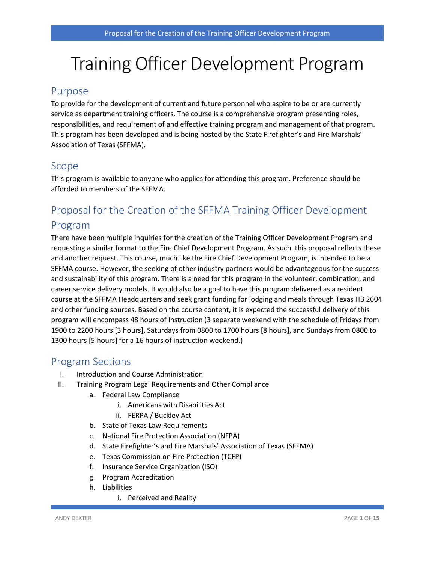# Training Officer Development Program

### Purpose

To provide for the development of current and future personnel who aspire to be or are currently service as department training officers. The course is a comprehensive program presenting roles, responsibilities, and requirement of and effective training program and management of that program. This program has been developed and is being hosted by the State Firefighter's and Fire Marshals' Association of Texas (SFFMA).

## Scope

This program is available to anyone who applies for attending this program. Preference should be afforded to members of the SFFMA.

## Proposal for the Creation of the SFFMA Training Officer Development Program

There have been multiple inquiries for the creation of the Training Officer Development Program and requesting a similar format to the Fire Chief Development Program. As such, this proposal reflects these and another request. This course, much like the Fire Chief Development Program, is intended to be a SFFMA course. However, the seeking of other industry partners would be advantageous for the success and sustainability of this program. There is a need for this program in the volunteer, combination, and career service delivery models. It would also be a goal to have this program delivered as a resident course at the SFFMA Headquarters and seek grant funding for lodging and meals through Texas HB 2604 and other funding sources. Based on the course content, it is expected the successful delivery of this program will encompass 48 hours of Instruction (3 separate weekend with the schedule of Fridays from 1900 to 2200 hours [3 hours], Saturdays from 0800 to 1700 hours [8 hours], and Sundays from 0800 to 1300 hours [5 hours] for a 16 hours of instruction weekend.)

## Program Sections

- I. Introduction and Course Administration
- II. Training Program Legal Requirements and Other Compliance
	- a. Federal Law Compliance
		- i. Americans with Disabilities Act
		- ii. FERPA / Buckley Act
	- b. State of Texas Law Requirements
	- c. National Fire Protection Association (NFPA)
	- d. State Firefighter's and Fire Marshals' Association of Texas (SFFMA)
	- e. Texas Commission on Fire Protection (TCFP)
	- f. Insurance Service Organization (ISO)
	- g. Program Accreditation
	- h. Liabilities
		- i. Perceived and Reality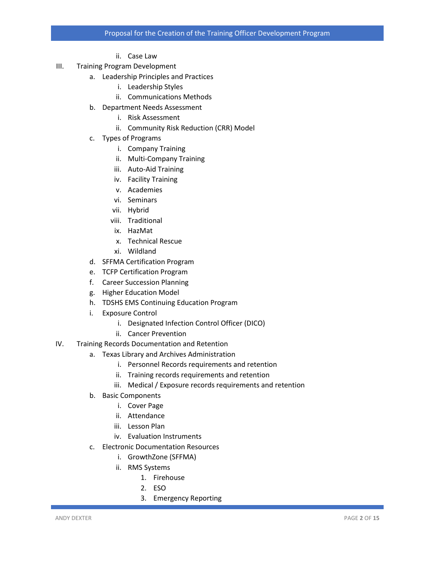- ii. Case Law
- III. Training Program Development
	- a. Leadership Principles and Practices
		- i. Leadership Styles
		- ii. Communications Methods
	- b. Department Needs Assessment
		- i. Risk Assessment
		- ii. Community Risk Reduction (CRR) Model
	- c. Types of Programs
		- i. Company Training
		- ii. Multi-Company Training
		- iii. Auto-Aid Training
		- iv. Facility Training
		- v. Academies
		- vi. Seminars
		- vii. Hybrid
		- viii. Traditional
		- ix. HazMat
		- x. Technical Rescue
		- xi. Wildland
	- d. SFFMA Certification Program
	- e. TCFP Certification Program
	- f. Career Succession Planning
	- g. Higher Education Model
	- h. TDSHS EMS Continuing Education Program
	- i. Exposure Control
		- i. Designated Infection Control Officer (DICO)
		- ii. Cancer Prevention
- IV. Training Records Documentation and Retention
	- a. Texas Library and Archives Administration
		- i. Personnel Records requirements and retention
		- ii. Training records requirements and retention
		- iii. Medical / Exposure records requirements and retention
	- b. Basic Components
		- i. Cover Page
		- ii. Attendance
		- iii. Lesson Plan
		- iv. Evaluation Instruments
	- c. Electronic Documentation Resources
		- i. GrowthZone (SFFMA)
		- ii. RMS Systems
			- 1. Firehouse
				- 2. ESO
				- 3. Emergency Reporting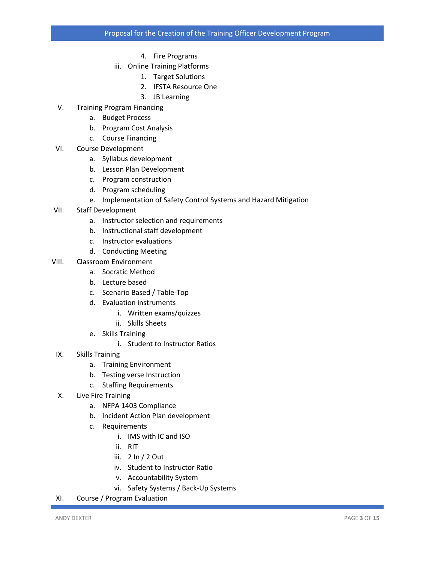- 4. Fire Programs
- iii. Online Training Platforms
	- 1. Target Solutions
	- 2. IFSTA Resource One
	- 3. JB Learning
- V. Training Program Financing
	- a. Budget Process
	- b. Program Cost Analysis
	- c. Course Financing
- VI. Course Development
	- a. Syllabus development
	- b. Lesson Plan Development
	- c. Program construction
	- d. Program scheduling
	- e. Implementation of Safety Control Systems and Hazard Mitigation
- VII. Staff Development
	- a. Instructor selection and requirements
	- b. Instructional staff development
	- c. Instructor evaluations
	- d. Conducting Meeting
- VIII. Classroom Environment
	- a. Socratic Method
	- b. Lecture based
	- c. Scenario Based / Table-Top
	- d. Evaluation instruments
		- i. Written exams/quizzes
		- ii. Skills Sheets
	- e. Skills Training
		- i. Student to Instructor Ratios
- IX. Skills Training
	- a. Training Environment
	- b. Testing verse Instruction
	- c. Staffing Requirements
- X. Live Fire Training
	- a. NFPA 1403 Compliance
	- b. Incident Action Plan development
	- c. Requirements
		- i. IMS with IC and ISO
		- ii. RIT
		- iii. 2 In / 2 Out
		- iv. Student to Instructor Ratio
		- v. Accountability System
		- vi. Safety Systems / Back-Up Systems
- XI. Course / Program Evaluation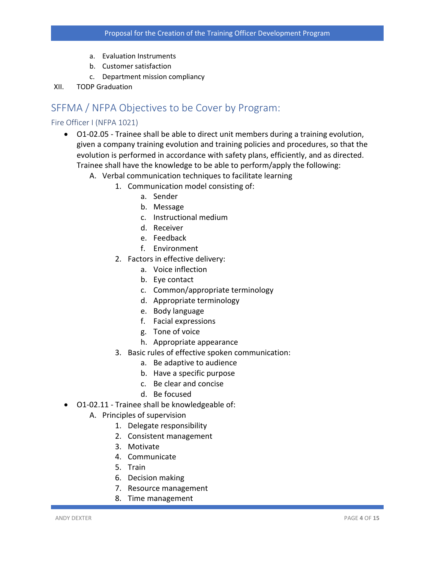- a. Evaluation Instruments
- b. Customer satisfaction
- c. Department mission compliancy
- XII. TODP Graduation

## SFFMA / NFPA Objectives to be Cover by Program:

#### Fire Officer I (NFPA 1021)

- O1-02.05 Trainee shall be able to direct unit members during a training evolution, given a company training evolution and training policies and procedures, so that the evolution is performed in accordance with safety plans, efficiently, and as directed. Trainee shall have the knowledge to be able to perform/apply the following:
	- A. Verbal communication techniques to facilitate learning
		- 1. Communication model consisting of:
			- a. Sender
			- b. Message
			- c. Instructional medium
			- d. Receiver
			- e. Feedback
			- f. Environment
		- 2. Factors in effective delivery:
			- a. Voice inflection
			- b. Eye contact
			- c. Common/appropriate terminology
			- d. Appropriate terminology
			- e. Body language
			- f. Facial expressions
			- g. Tone of voice
			- h. Appropriate appearance
		- 3. Basic rules of effective spoken communication:
			- a. Be adaptive to audience
			- b. Have a specific purpose
			- c. Be clear and concise
			- d. Be focused
- O1‐02.11 Trainee shall be knowledgeable of:
	- A. Principles of supervision
		- 1. Delegate responsibility
		- 2. Consistent management
		- 3. Motivate
		- 4. Communicate
		- 5. Train
		- 6. Decision making
		- 7. Resource management
		- 8. Time management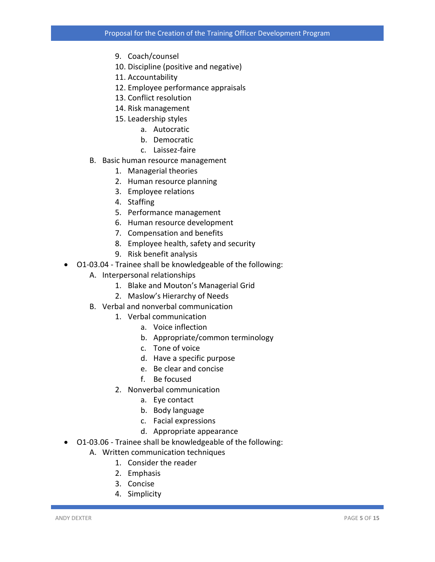- 9. Coach/counsel
- 10. Discipline (positive and negative)
- 11. Accountability
- 12. Employee performance appraisals
- 13. Conflict resolution
- 14. Risk management
- 15. Leadership styles
	- a. Autocratic
	- b. Democratic
	- c. Laissez‐faire
- B. Basic human resource management
	- 1. Managerial theories
	- 2. Human resource planning
	- 3. Employee relations
	- 4. Staffing
	- 5. Performance management
	- 6. Human resource development
	- 7. Compensation and benefits
	- 8. Employee health, safety and security
	- 9. Risk benefit analysis
- O1‐03.04 Trainee shall be knowledgeable of the following:
	- A. Interpersonal relationships
		- 1. Blake and Mouton's Managerial Grid
		- 2. Maslow's Hierarchy of Needs
	- B. Verbal and nonverbal communication
		- 1. Verbal communication
			- a. Voice inflection
			- b. Appropriate/common terminology
			- c. Tone of voice
			- d. Have a specific purpose
			- e. Be clear and concise
			- f. Be focused
		- 2. Nonverbal communication
			- a. Eye contact
			- b. Body language
			- c. Facial expressions
			- d. Appropriate appearance
- O1‐03.06 Trainee shall be knowledgeable of the following:
	- A. Written communication techniques
		- 1. Consider the reader
		- 2. Emphasis
		- 3. Concise
		- 4. Simplicity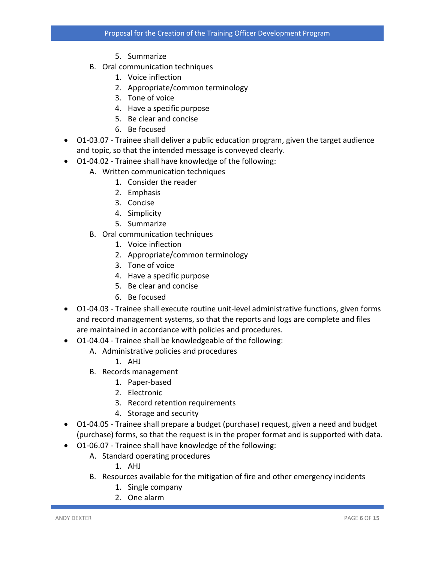- 5. Summarize
- B. Oral communication techniques
	- 1. Voice inflection
	- 2. Appropriate/common terminology
	- 3. Tone of voice
	- 4. Have a specific purpose
	- 5. Be clear and concise
	- 6. Be focused
- O1‐03.07 Trainee shall deliver a public education program, given the target audience and topic, so that the intended message is conveyed clearly.
- O1‐04.02 Trainee shall have knowledge of the following:
	- A. Written communication techniques
		- 1. Consider the reader
		- 2. Emphasis
		- 3. Concise
		- 4. Simplicity
		- 5. Summarize
	- B. Oral communication techniques
		- 1. Voice inflection
		- 2. Appropriate/common terminology
		- 3. Tone of voice
		- 4. Have a specific purpose
		- 5. Be clear and concise
		- 6. Be focused
- O1‐04.03 Trainee shall execute routine unit‐level administrative functions, given forms and record management systems, so that the reports and logs are complete and files are maintained in accordance with policies and procedures.
- O1‐04.04 Trainee shall be knowledgeable of the following:
	- A. Administrative policies and procedures
		- 1. AHJ
	- B. Records management
		- 1. Paper‐based
		- 2. Electronic
		- 3. Record retention requirements
		- 4. Storage and security
- O1-04.05 Trainee shall prepare a budget (purchase) request, given a need and budget (purchase) forms, so that the request is in the proper format and is supported with data.
- O1‐06.07 Trainee shall have knowledge of the following:
	- A. Standard operating procedures
		- 1. AHJ
	- B. Resources available for the mitigation of fire and other emergency incidents
		- 1. Single company
		- 2. One alarm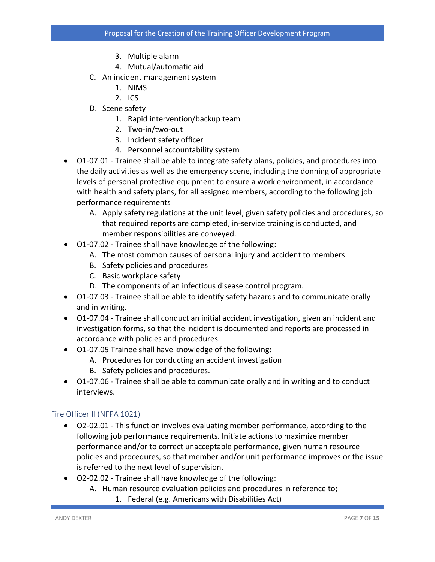- 3. Multiple alarm
- 4. Mutual/automatic aid
- C. An incident management system
	- 1. NIMS
	- 2. ICS
- D. Scene safety
	- 1. Rapid intervention/backup team
	- 2. Two‐in/two‐out
	- 3. Incident safety officer
	- 4. Personnel accountability system
- O1-07.01 Trainee shall be able to integrate safety plans, policies, and procedures into the daily activities as well as the emergency scene, including the donning of appropriate levels of personal protective equipment to ensure a work environment, in accordance with health and safety plans, for all assigned members, according to the following job performance requirements
	- A. Apply safety regulations at the unit level, given safety policies and procedures, so that required reports are completed, in‐service training is conducted, and member responsibilities are conveyed.
- O1‐07.02 Trainee shall have knowledge of the following:
	- A. The most common causes of personal injury and accident to members
	- B. Safety policies and procedures
	- C. Basic workplace safety
	- D. The components of an infectious disease control program.
- O1-07.03 Trainee shall be able to identify safety hazards and to communicate orally and in writing.
- O1‐07.04 Trainee shall conduct an initial accident investigation, given an incident and investigation forms, so that the incident is documented and reports are processed in accordance with policies and procedures.
- O1‐07.05 Trainee shall have knowledge of the following:
	- A. Procedures for conducting an accident investigation
	- B. Safety policies and procedures.
- O1-07.06 Trainee shall be able to communicate orally and in writing and to conduct interviews.

#### Fire Officer II (NFPA 1021)

- O2‐02.01 This function involves evaluating member performance, according to the following job performance requirements. Initiate actions to maximize member performance and/or to correct unacceptable performance, given human resource policies and procedures, so that member and/or unit performance improves or the issue is referred to the next level of supervision.
- O2‐02.02 Trainee shall have knowledge of the following:
	- A. Human resource evaluation policies and procedures in reference to;
		- 1. Federal (e.g. Americans with Disabilities Act)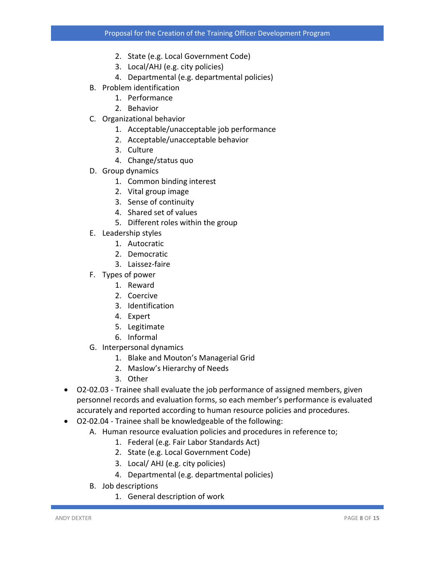- 2. State (e.g. Local Government Code)
- 3. Local/AHJ (e.g. city policies)
- 4. Departmental (e.g. departmental policies)
- B. Problem identification
	- 1. Performance
	- 2. Behavior
- C. Organizational behavior
	- 1. Acceptable/unacceptable job performance
	- 2. Acceptable/unacceptable behavior
	- 3. Culture
	- 4. Change/status quo
- D. Group dynamics
	- 1. Common binding interest
	- 2. Vital group image
	- 3. Sense of continuity
	- 4. Shared set of values
	- 5. Different roles within the group
- E. Leadership styles
	- 1. Autocratic
	- 2. Democratic
	- 3. Laissez‐faire
- F. Types of power
	- 1. Reward
	- 2. Coercive
	- 3. Identification
	- 4. Expert
	- 5. Legitimate
	- 6. Informal
- G. Interpersonal dynamics
	- 1. Blake and Mouton's Managerial Grid
	- 2. Maslow's Hierarchy of Needs
	- 3. Other
- O2‐02.03 Trainee shall evaluate the job performance of assigned members, given personnel records and evaluation forms, so each member's performance is evaluated accurately and reported according to human resource policies and procedures.
- O2‐02.04 Trainee shall be knowledgeable of the following:
	- A. Human resource evaluation policies and procedures in reference to;
		- 1. Federal (e.g. Fair Labor Standards Act)
		- 2. State (e.g. Local Government Code)
		- 3. Local/ AHJ (e.g. city policies)
		- 4. Departmental (e.g. departmental policies)
	- B. Job descriptions
		- 1. General description of work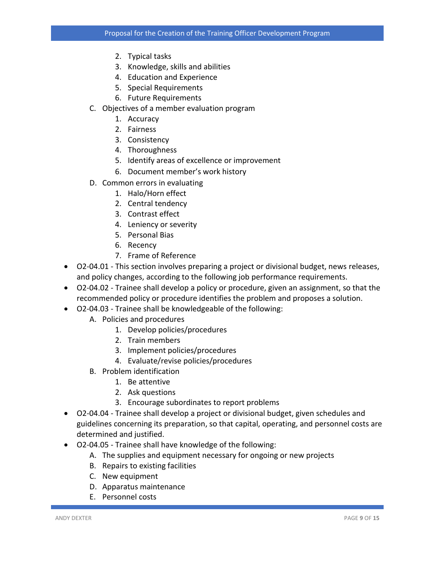- 2. Typical tasks
- 3. Knowledge, skills and abilities
- 4. Education and Experience
- 5. Special Requirements
- 6. Future Requirements
- C. Objectives of a member evaluation program
	- 1. Accuracy
	- 2. Fairness
	- 3. Consistency
	- 4. Thoroughness
	- 5. Identify areas of excellence or improvement
	- 6. Document member's work history
- D. Common errors in evaluating
	- 1. Halo/Horn effect
	- 2. Central tendency
	- 3. Contrast effect
	- 4. Leniency or severity
	- 5. Personal Bias
	- 6. Recency
	- 7. Frame of Reference
- O2‐04.01 This section involves preparing a project or divisional budget, news releases, and policy changes, according to the following job performance requirements.
- O2-04.02 Trainee shall develop a policy or procedure, given an assignment, so that the recommended policy or procedure identifies the problem and proposes a solution.
- O2‐04.03 Trainee shall be knowledgeable of the following:
	- A. Policies and procedures
		- 1. Develop policies/procedures
		- 2. Train members
		- 3. Implement policies/procedures
		- 4. Evaluate/revise policies/procedures
	- B. Problem identification
		- 1. Be attentive
		- 2. Ask questions
		- 3. Encourage subordinates to report problems
- O2-04.04 Trainee shall develop a project or divisional budget, given schedules and guidelines concerning its preparation, so that capital, operating, and personnel costs are determined and justified.
- O2‐04.05 Trainee shall have knowledge of the following:
	- A. The supplies and equipment necessary for ongoing or new projects
	- B. Repairs to existing facilities
	- C. New equipment
	- D. Apparatus maintenance
	- E. Personnel costs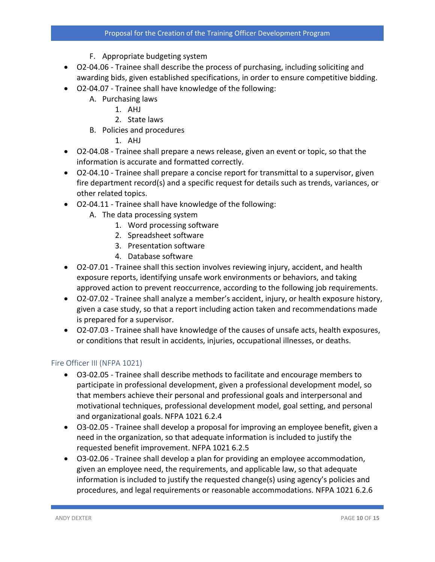- F. Appropriate budgeting system
- O2‐04.06 Trainee shall describe the process of purchasing, including soliciting and awarding bids, given established specifications, in order to ensure competitive bidding.
- O2‐04.07 Trainee shall have knowledge of the following:
	- A. Purchasing laws
		- 1. AHJ
		- 2. State laws
	- B. Policies and procedures
		- 1. AHJ
- O2‐04.08 Trainee shall prepare a news release, given an event or topic, so that the information is accurate and formatted correctly.
- O2-04.10 Trainee shall prepare a concise report for transmittal to a supervisor, given fire department record(s) and a specific request for details such as trends, variances, or other related topics.
- O2‐04.11 Trainee shall have knowledge of the following:
	- A. The data processing system
		- 1. Word processing software
		- 2. Spreadsheet software
		- 3. Presentation software
		- 4. Database software
- O2-07.01 Trainee shall this section involves reviewing injury, accident, and health exposure reports, identifying unsafe work environments or behaviors, and taking approved action to prevent reoccurrence, according to the following job requirements.
- O2-07.02 Trainee shall analyze a member's accident, injury, or health exposure history, given a case study, so that a report including action taken and recommendations made is prepared for a supervisor.
- O2‐07.03 Trainee shall have knowledge of the causes of unsafe acts, health exposures, or conditions that result in accidents, injuries, occupational illnesses, or deaths.

#### Fire Officer III (NFPA 1021)

- O3‐02.05 Trainee shall describe methods to facilitate and encourage members to participate in professional development, given a professional development model, so that members achieve their personal and professional goals and interpersonal and motivational techniques, professional development model, goal setting, and personal and organizational goals. NFPA 1021 6.2.4
- O3‐02.05 Trainee shall develop a proposal for improving an employee benefit, given a need in the organization, so that adequate information is included to justify the requested benefit improvement. NFPA 1021 6.2.5
- O3-02.06 Trainee shall develop a plan for providing an employee accommodation, given an employee need, the requirements, and applicable law, so that adequate information is included to justify the requested change(s) using agency's policies and procedures, and legal requirements or reasonable accommodations. NFPA 1021 6.2.6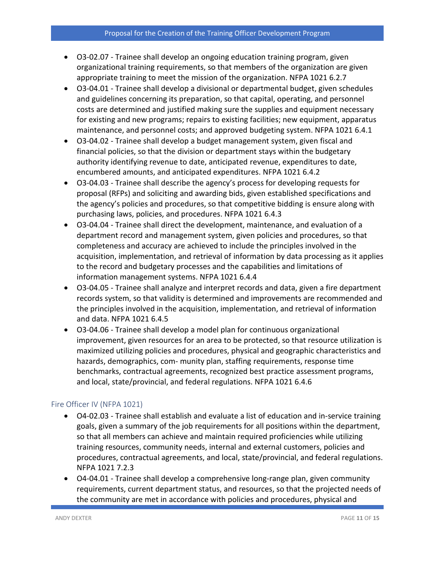- O3-02.07 Trainee shall develop an ongoing education training program, given organizational training requirements, so that members of the organization are given appropriate training to meet the mission of the organization. NFPA 1021 6.2.7
- O3‐04.01 Trainee shall develop a divisional or departmental budget, given schedules and guidelines concerning its preparation, so that capital, operating, and personnel costs are determined and justified making sure the supplies and equipment necessary for existing and new programs; repairs to existing facilities; new equipment, apparatus maintenance, and personnel costs; and approved budgeting system. NFPA 1021 6.4.1
- O3-04.02 Trainee shall develop a budget management system, given fiscal and financial policies, so that the division or department stays within the budgetary authority identifying revenue to date, anticipated revenue, expenditures to date, encumbered amounts, and anticipated expenditures. NFPA 1021 6.4.2
- O3‐04.03 Trainee shall describe the agency's process for developing requests for proposal (RFPs) and soliciting and awarding bids, given established specifications and the agency's policies and procedures, so that competitive bidding is ensure along with purchasing laws, policies, and procedures. NFPA 1021 6.4.3
- O3‐04.04 Trainee shall direct the development, maintenance, and evaluation of a department record and management system, given policies and procedures, so that completeness and accuracy are achieved to include the principles involved in the acquisition, implementation, and retrieval of information by data processing as it applies to the record and budgetary processes and the capabilities and limitations of information management systems. NFPA 1021 6.4.4
- O3-04.05 Trainee shall analyze and interpret records and data, given a fire department records system, so that validity is determined and improvements are recommended and the principles involved in the acquisition, implementation, and retrieval of information and data. NFPA 1021 6.4.5
- O3-04.06 Trainee shall develop a model plan for continuous organizational improvement, given resources for an area to be protected, so that resource utilization is maximized utilizing policies and procedures, physical and geographic characteristics and hazards, demographics, com‐ munity plan, staffing requirements, response time benchmarks, contractual agreements, recognized best practice assessment programs, and local, state/provincial, and federal regulations. NFPA 1021 6.4.6

#### Fire Officer IV (NFPA 1021)

- O4-02.03 Trainee shall establish and evaluate a list of education and in-service training goals, given a summary of the job requirements for all positions within the department, so that all members can achieve and maintain required proficiencies while utilizing training resources, community needs, internal and external customers, policies and procedures, contractual agreements, and local, state/provincial, and federal regulations. NFPA 1021 7.2.3
- O4‐04.01 Trainee shall develop a comprehensive long‐range plan, given community requirements, current department status, and resources, so that the projected needs of the community are met in accordance with policies and procedures, physical and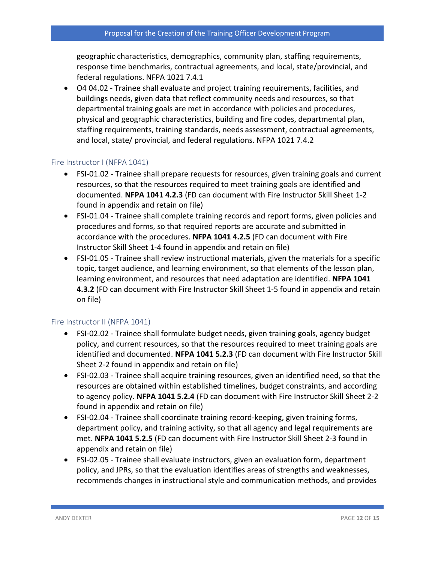geographic characteristics, demographics, community plan, staffing requirements, response time benchmarks, contractual agreements, and local, state/provincial, and federal regulations. NFPA 1021 7.4.1

• O4 04.02 - Trainee shall evaluate and project training requirements, facilities, and buildings needs, given data that reflect community needs and resources, so that departmental training goals are met in accordance with policies and procedures, physical and geographic characteristics, building and fire codes, departmental plan, staffing requirements, training standards, needs assessment, contractual agreements, and local, state/ provincial, and federal regulations. NFPA 1021 7.4.2

#### Fire Instructor I (NFPA 1041)

- FSI-01.02 Trainee shall prepare requests for resources, given training goals and current resources, so that the resources required to meet training goals are identified and documented. **NFPA 1041 4.2.3** (FD can document with Fire Instructor Skill Sheet 1‐2 found in appendix and retain on file)
- FSI-01.04 Trainee shall complete training records and report forms, given policies and procedures and forms, so that required reports are accurate and submitted in accordance with the procedures. **NFPA 1041 4.2.5** (FD can document with Fire Instructor Skill Sheet 1‐4 found in appendix and retain on file)
- FSI‐01.05 Trainee shall review instructional materials, given the materials for a specific topic, target audience, and learning environment, so that elements of the lesson plan, learning environment, and resources that need adaptation are identified. **NFPA 1041 4.3.2** (FD can document with Fire Instructor Skill Sheet 1‐5 found in appendix and retain on file)

#### Fire Instructor II (NFPA 1041)

- FSI‐02.02 Trainee shall formulate budget needs, given training goals, agency budget policy, and current resources, so that the resources required to meet training goals are identified and documented. **NFPA 1041 5.2.3** (FD can document with Fire Instructor Skill Sheet 2‐2 found in appendix and retain on file)
- FSI-02.03 Trainee shall acquire training resources, given an identified need, so that the resources are obtained within established timelines, budget constraints, and according to agency policy. **NFPA 1041 5.2.4** (FD can document with Fire Instructor Skill Sheet 2‐2 found in appendix and retain on file)
- FSI‐02.04 Trainee shall coordinate training record‐keeping, given training forms, department policy, and training activity, so that all agency and legal requirements are met. **NFPA 1041 5.2.5** (FD can document with Fire Instructor Skill Sheet 2‐3 found in appendix and retain on file)
- FSI‐02.05 Trainee shall evaluate instructors, given an evaluation form, department policy, and JPRs, so that the evaluation identifies areas of strengths and weaknesses, recommends changes in instructional style and communication methods, and provides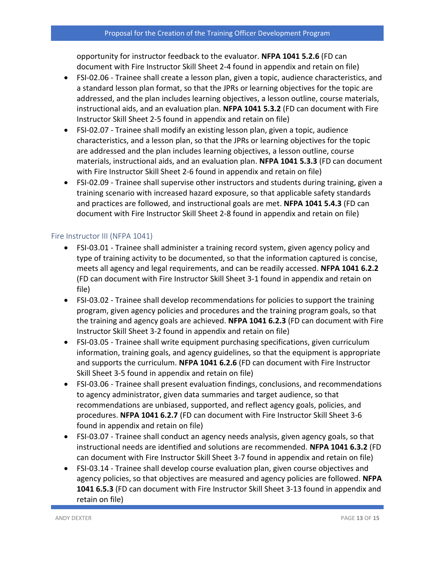opportunity for instructor feedback to the evaluator. **NFPA 1041 5.2.6** (FD can document with Fire Instructor Skill Sheet 2‐4 found in appendix and retain on file)

- FSI‐02.06 Trainee shall create a lesson plan, given a topic, audience characteristics, and a standard lesson plan format, so that the JPRs or learning objectives for the topic are addressed, and the plan includes learning objectives, a lesson outline, course materials, instructional aids, and an evaluation plan. **NFPA 1041 5.3.2** (FD can document with Fire Instructor Skill Sheet 2‐5 found in appendix and retain on file)
- FSI-02.07 Trainee shall modify an existing lesson plan, given a topic, audience characteristics, and a lesson plan, so that the JPRs or learning objectives for the topic are addressed and the plan includes learning objectives, a lesson outline, course materials, instructional aids, and an evaluation plan. **NFPA 1041 5.3.3** (FD can document with Fire Instructor Skill Sheet 2-6 found in appendix and retain on file)
- FSI-02.09 Trainee shall supervise other instructors and students during training, given a training scenario with increased hazard exposure, so that applicable safety standards and practices are followed, and instructional goals are met. **NFPA 1041 5.4.3** (FD can document with Fire Instructor Skill Sheet 2‐8 found in appendix and retain on file)

#### Fire Instructor III (NFPA 1041)

- FSI-03.01 Trainee shall administer a training record system, given agency policy and type of training activity to be documented, so that the information captured is concise, meets all agency and legal requirements, and can be readily accessed. **NFPA 1041 6.2.2** (FD can document with Fire Instructor Skill Sheet 3‐1 found in appendix and retain on file)
- FSI‐03.02 Trainee shall develop recommendations for policies to support the training program, given agency policies and procedures and the training program goals, so that the training and agency goals are achieved. **NFPA 1041 6.2.3** (FD can document with Fire Instructor Skill Sheet 3‐2 found in appendix and retain on file)
- FSI-03.05 Trainee shall write equipment purchasing specifications, given curriculum information, training goals, and agency guidelines, so that the equipment is appropriate and supports the curriculum. **NFPA 1041 6.2.6** (FD can document with Fire Instructor Skill Sheet 3‐5 found in appendix and retain on file)
- FSI‐03.06 Trainee shall present evaluation findings, conclusions, and recommendations to agency administrator, given data summaries and target audience, so that recommendations are unbiased, supported, and reflect agency goals, policies, and procedures. **NFPA 1041 6.2.7** (FD can document with Fire Instructor Skill Sheet 3‐6 found in appendix and retain on file)
- FSI-03.07 Trainee shall conduct an agency needs analysis, given agency goals, so that instructional needs are identified and solutions are recommended. **NFPA 1041 6.3.2** (FD can document with Fire Instructor Skill Sheet 3‐7 found in appendix and retain on file)
- FSI‐03.14 Trainee shall develop course evaluation plan, given course objectives and agency policies, so that objectives are measured and agency policies are followed. **NFPA 1041 6.5.3** (FD can document with Fire Instructor Skill Sheet 3‐13 found in appendix and retain on file)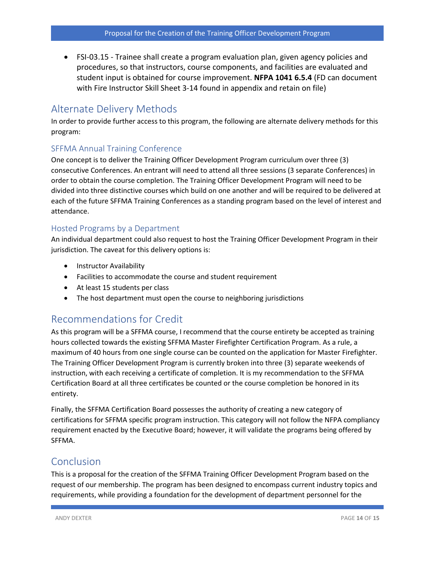• FSI‐03.15 - Trainee shall create a program evaluation plan, given agency policies and procedures, so that instructors, course components, and facilities are evaluated and student input is obtained for course improvement. **NFPA 1041 6.5.4** (FD can document with Fire Instructor Skill Sheet 3‐14 found in appendix and retain on file)

## Alternate Delivery Methods

In order to provide further access to this program, the following are alternate delivery methods for this program:

#### SFFMA Annual Training Conference

One concept is to deliver the Training Officer Development Program curriculum over three (3) consecutive Conferences. An entrant will need to attend all three sessions (3 separate Conferences) in order to obtain the course completion. The Training Officer Development Program will need to be divided into three distinctive courses which build on one another and will be required to be delivered at each of the future SFFMA Training Conferences as a standing program based on the level of interest and attendance.

#### Hosted Programs by a Department

An individual department could also request to host the Training Officer Development Program in their jurisdiction. The caveat for this delivery options is:

- Instructor Availability
- Facilities to accommodate the course and student requirement
- At least 15 students per class
- The host department must open the course to neighboring jurisdictions

## Recommendations for Credit

As this program will be a SFFMA course, I recommend that the course entirety be accepted as training hours collected towards the existing SFFMA Master Firefighter Certification Program. As a rule, a maximum of 40 hours from one single course can be counted on the application for Master Firefighter. The Training Officer Development Program is currently broken into three (3) separate weekends of instruction, with each receiving a certificate of completion. It is my recommendation to the SFFMA Certification Board at all three certificates be counted or the course completion be honored in its entirety.

Finally, the SFFMA Certification Board possesses the authority of creating a new category of certifications for SFFMA specific program instruction. This category will not follow the NFPA compliancy requirement enacted by the Executive Board; however, it will validate the programs being offered by SFFMA.

## Conclusion

This is a proposal for the creation of the SFFMA Training Officer Development Program based on the request of our membership. The program has been designed to encompass current industry topics and requirements, while providing a foundation for the development of department personnel for the